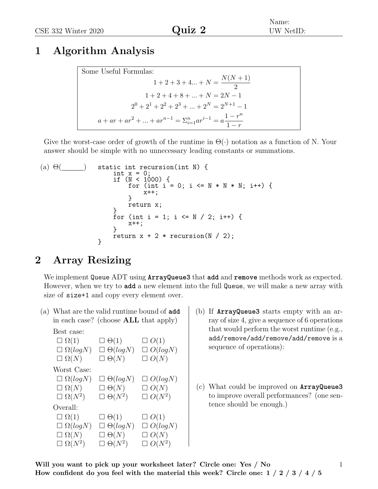## **1 Algorithm Analysis**

| Some Useful Formulas:                                                             |
|-----------------------------------------------------------------------------------|
|                                                                                   |
| $1+2+3+4+N=\frac{N(N+1)}{2}$                                                      |
| $1+2+4+8++N=2N-1$                                                                 |
| $2^{0} + 2^{1} + 2^{2} + 2^{3} +  + 2^{N} = 2^{N+1} - 1$                          |
| $a + ar + ar^{2} +  + ar^{n-1} = \sum_{i=1}^{n} ar^{i-1} = a \frac{1-r^{n}}{1-r}$ |

Give the worst-case order of growth of the runtime in  $\Theta(\cdot)$  notation as a function of N. Your answer should be simple with no unnecessary leading constants or summations.

(a) 
$$
\Theta(\_\_)
$$
 static int recursion(int N) {\n int x = 0;\n if (N < 1000) {\n for (int i = 0; i <= N \* N \* N; i++) {\n x++;\n }\n return x;\n for (int i = 1; i <= N / 2; i++) {\n x++;\n }\n return x + 2 \* recursion(N / 2);

## **2 Array Resizing**

We implement Queue ADT using **ArrayQueue3** that **add** and **remove** methods work as expected. However, when we try to **add** a new element into the full Queue, we will make a new array with size of size+1 and copy every element over.

(a) What are the valid runtime bound of **add** in each case? (choose **ALL** that apply)

```
Best case:
```

$$
\Box \Omega(1) \qquad \Box \Theta(1) \qquad \Box O(1)
$$
  
\n
$$
\Box \Omega(logN) \qquad \Box \Theta(logN) \qquad \Box O(logN)
$$
  
\n
$$
\Box \Omega(N) \qquad \Box \Theta(N) \qquad \Box O(N)
$$
  
\nWorst Case:  
\n
$$
\Box \Omega(logN) \qquad \Box \Theta(logN) \qquad \Box O(logN)
$$
  
\n
$$
\Box \Omega(N) \qquad \Box \Theta(N) \qquad \Box O(N)
$$
  
\n
$$
\Box \Omega(N^2) \qquad \Box \Theta(N^2) \qquad \Box O(N^2)
$$
  
\nOverall:  
\n
$$
\Box \Omega(1) \qquad \Box \Theta(1) \qquad \Box O(1)
$$
  
\n
$$
\Box \Omega(logN) \qquad \Box \Theta(logN) \qquad \Box O(logN)
$$
  
\n
$$
\Box \Omega(N) \qquad \Box \Theta(N) \qquad \Box O(N)
$$
  
\n
$$
\Box \Omega(N^2) \qquad \Box \Theta(N^2) \qquad \Box O(N^2)
$$

- (b) If **ArrayQueue3** starts empty with an array of size 4, give a sequence of 6 operations that would perform the worst runtime (e.g., add/remove/add/remove/add/remove is a sequence of operations):
- (c) What could be improved on **ArrayQueue3** to improve overall performances? (one sentence should be enough.)

1